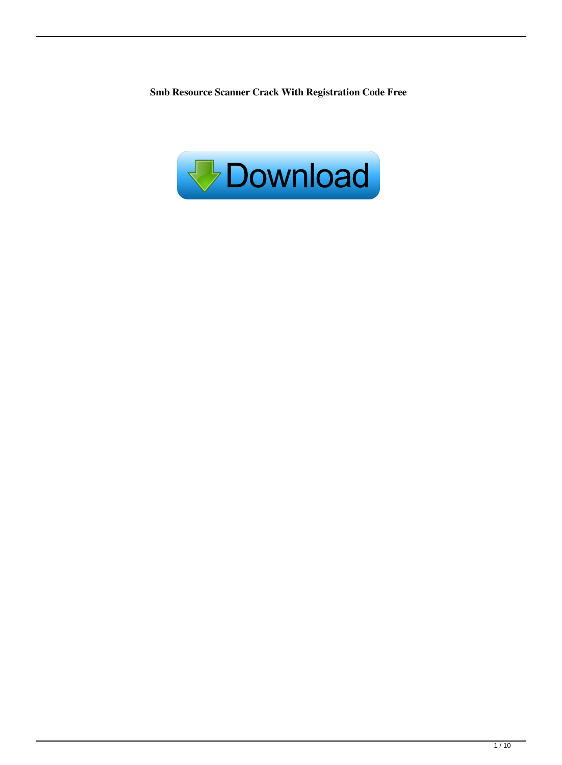**Smb Resource Scanner Crack With Registration Code Free**

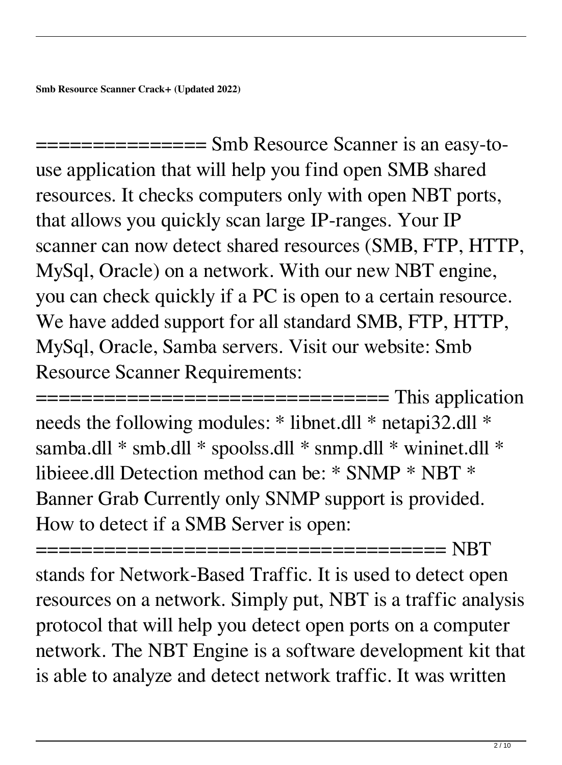=============== Smb Resource Scanner is an easy-touse application that will help you find open SMB shared resources. It checks computers only with open NBT ports, that allows you quickly scan large IP-ranges. Your IP scanner can now detect shared resources (SMB, FTP, HTTP, MySql, Oracle) on a network. With our new NBT engine, you can check quickly if a PC is open to a certain resource. We have added support for all standard SMB, FTP, HTTP, MySql, Oracle, Samba servers. Visit our website: Smb Resource Scanner Requirements:

================================== This application needs the following modules: \* libnet.dll \* netapi32.dll \* samba.dll \* smb.dll \* spoolss.dll \* snmp.dll \* wininet.dll \* libieee.dll Detection method can be: \* SNMP \* NBT \* Banner Grab Currently only SNMP support is provided. How to detect if a SMB Server is open:

==================================== NBT stands for Network-Based Traffic. It is used to detect open resources on a network. Simply put, NBT is a traffic analysis protocol that will help you detect open ports on a computer network. The NBT Engine is a software development kit that is able to analyze and detect network traffic. It was written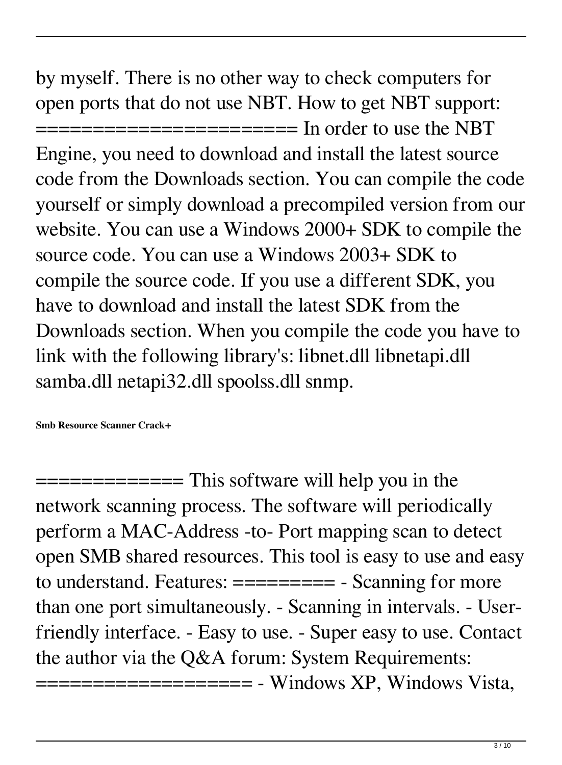by myself. There is no other way to check computers for open ports that do not use NBT. How to get NBT support: ======================= In order to use the NBT Engine, you need to download and install the latest source code from the Downloads section. You can compile the code yourself or simply download a precompiled version from our website. You can use a Windows 2000+ SDK to compile the source code. You can use a Windows 2003+ SDK to compile the source code. If you use a different SDK, you have to download and install the latest SDK from the Downloads section. When you compile the code you have to link with the following library's: libnet.dll libnetapi.dll samba.dll netapi32.dll spoolss.dll snmp.

**Smb Resource Scanner Crack+**

 $=$  $=$  $=$  $=$  $=$  $=$  $=$  $=$  $=$  $\frac{1}{2}$  This software will help you in the network scanning process. The software will periodically perform a MAC-Address -to- Port mapping scan to detect open SMB shared resources. This tool is easy to use and easy to understand. Features: ========== - Scanning for more than one port simultaneously. - Scanning in intervals. - Userfriendly interface. - Easy to use. - Super easy to use. Contact the author via the Q&A forum: System Requirements: ==================== - Windows XP, Windows Vista,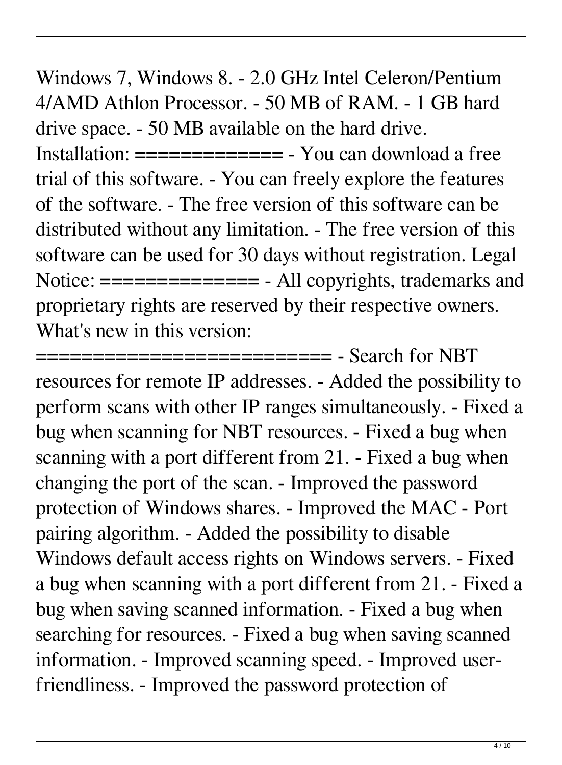Windows 7, Windows 8. - 2.0 GHz Intel Celeron/Pentium 4/AMD Athlon Processor. - 50 MB of RAM. - 1 GB hard drive space. - 50 MB available on the hard drive. Installation: ============= - You can download a free trial of this software. - You can freely explore the features of the software. - The free version of this software can be distributed without any limitation. - The free version of this software can be used for 30 days without registration. Legal Notice:  $=$  ============= - All copyrights, trademarks and proprietary rights are reserved by their respective owners. What's new in this version:

============================= - Search for NBT resources for remote IP addresses. - Added the possibility to perform scans with other IP ranges simultaneously. - Fixed a bug when scanning for NBT resources. - Fixed a bug when scanning with a port different from 21. - Fixed a bug when changing the port of the scan. - Improved the password protection of Windows shares. - Improved the MAC - Port pairing algorithm. - Added the possibility to disable Windows default access rights on Windows servers. - Fixed a bug when scanning with a port different from 21. - Fixed a bug when saving scanned information. - Fixed a bug when searching for resources. - Fixed a bug when saving scanned information. - Improved scanning speed. - Improved userfriendliness. - Improved the password protection of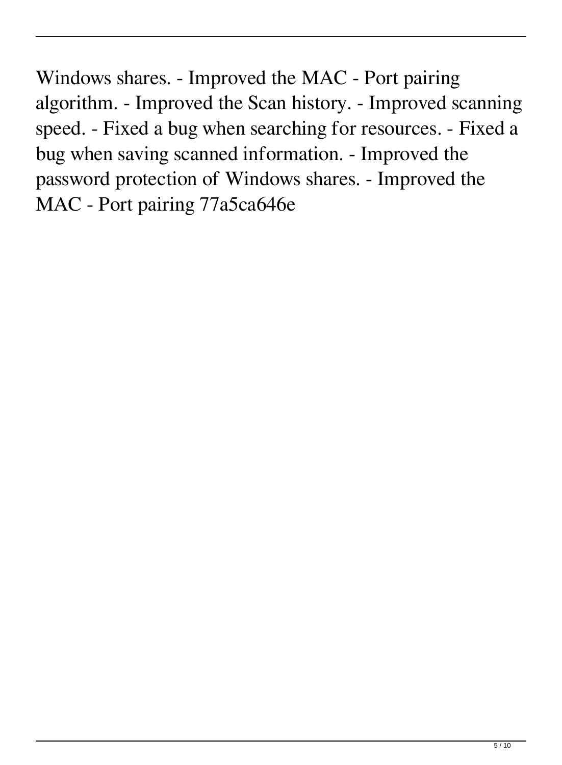Windows shares. - Improved the MAC - Port pairing algorithm. - Improved the Scan history. - Improved scanning speed. - Fixed a bug when searching for resources. - Fixed a bug when saving scanned information. - Improved the password protection of Windows shares. - Improved the MAC - Port pairing 77a5ca646e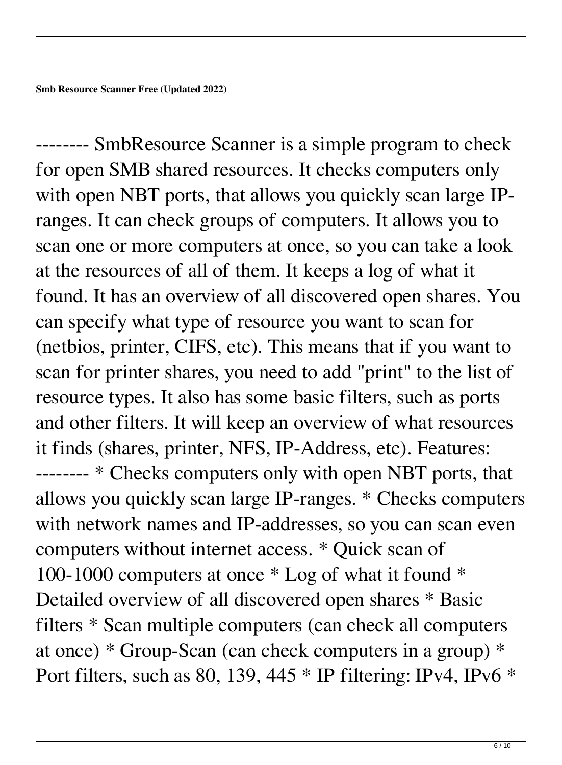-------- SmbResource Scanner is a simple program to check for open SMB shared resources. It checks computers only with open NBT ports, that allows you quickly scan large IPranges. It can check groups of computers. It allows you to scan one or more computers at once, so you can take a look at the resources of all of them. It keeps a log of what it found. It has an overview of all discovered open shares. You can specify what type of resource you want to scan for (netbios, printer, CIFS, etc). This means that if you want to scan for printer shares, you need to add "print" to the list of resource types. It also has some basic filters, such as ports and other filters. It will keep an overview of what resources it finds (shares, printer, NFS, IP-Address, etc). Features: -------- \* Checks computers only with open NBT ports, that allows you quickly scan large IP-ranges. \* Checks computers with network names and IP-addresses, so you can scan even computers without internet access. \* Quick scan of 100-1000 computers at once \* Log of what it found \* Detailed overview of all discovered open shares \* Basic filters \* Scan multiple computers (can check all computers at once) \* Group-Scan (can check computers in a group) \* Port filters, such as 80, 139, 445 \* IP filtering: IPv4, IPv6 \*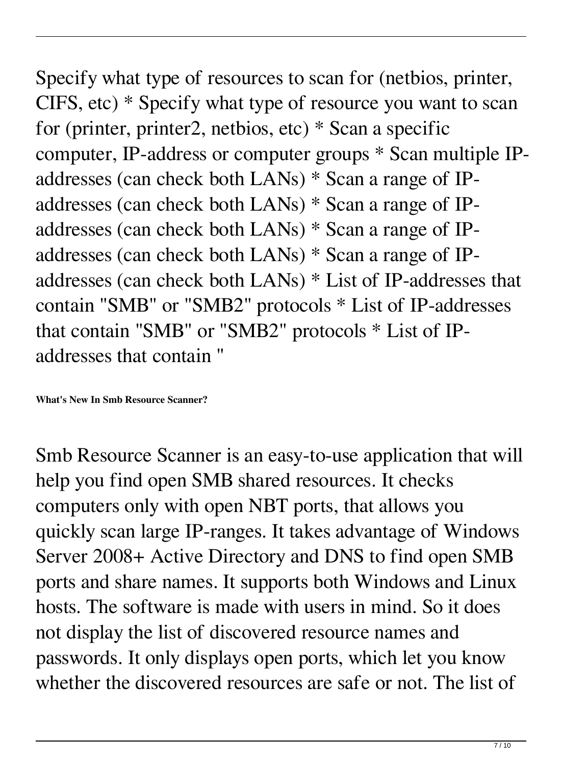Specify what type of resources to scan for (netbios, printer, CIFS, etc) \* Specify what type of resource you want to scan for (printer, printer2, netbios, etc) \* Scan a specific computer, IP-address or computer groups \* Scan multiple IPaddresses (can check both LANs) \* Scan a range of IPaddresses (can check both LANs) \* Scan a range of IPaddresses (can check both LANs) \* Scan a range of IPaddresses (can check both LANs) \* Scan a range of IPaddresses (can check both LANs) \* List of IP-addresses that contain "SMB" or "SMB2" protocols \* List of IP-addresses that contain "SMB" or "SMB2" protocols \* List of IPaddresses that contain "

**What's New In Smb Resource Scanner?**

Smb Resource Scanner is an easy-to-use application that will help you find open SMB shared resources. It checks computers only with open NBT ports, that allows you quickly scan large IP-ranges. It takes advantage of Windows Server 2008+ Active Directory and DNS to find open SMB ports and share names. It supports both Windows and Linux hosts. The software is made with users in mind. So it does not display the list of discovered resource names and passwords. It only displays open ports, which let you know whether the discovered resources are safe or not. The list of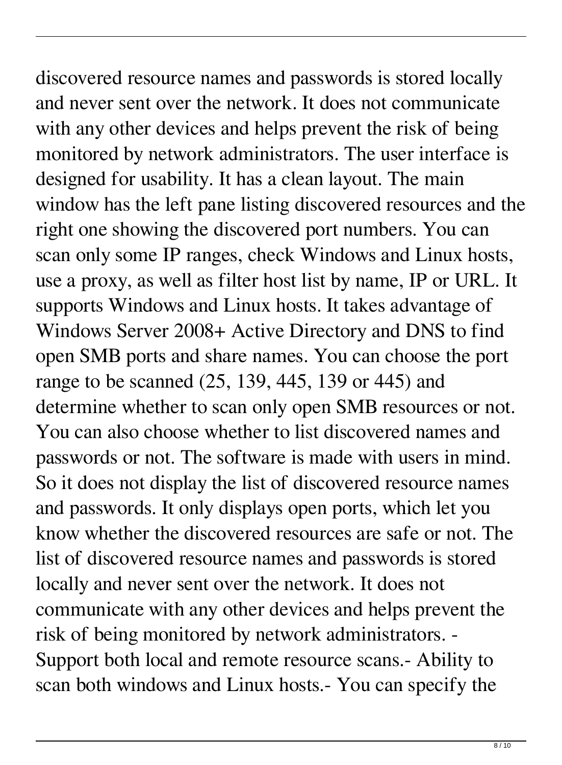discovered resource names and passwords is stored locally and never sent over the network. It does not communicate with any other devices and helps prevent the risk of being monitored by network administrators. The user interface is designed for usability. It has a clean layout. The main window has the left pane listing discovered resources and the right one showing the discovered port numbers. You can scan only some IP ranges, check Windows and Linux hosts, use a proxy, as well as filter host list by name, IP or URL. It supports Windows and Linux hosts. It takes advantage of Windows Server 2008+ Active Directory and DNS to find open SMB ports and share names. You can choose the port range to be scanned (25, 139, 445, 139 or 445) and determine whether to scan only open SMB resources or not. You can also choose whether to list discovered names and passwords or not. The software is made with users in mind. So it does not display the list of discovered resource names and passwords. It only displays open ports, which let you know whether the discovered resources are safe or not. The list of discovered resource names and passwords is stored locally and never sent over the network. It does not communicate with any other devices and helps prevent the risk of being monitored by network administrators. - Support both local and remote resource scans.- Ability to scan both windows and Linux hosts.- You can specify the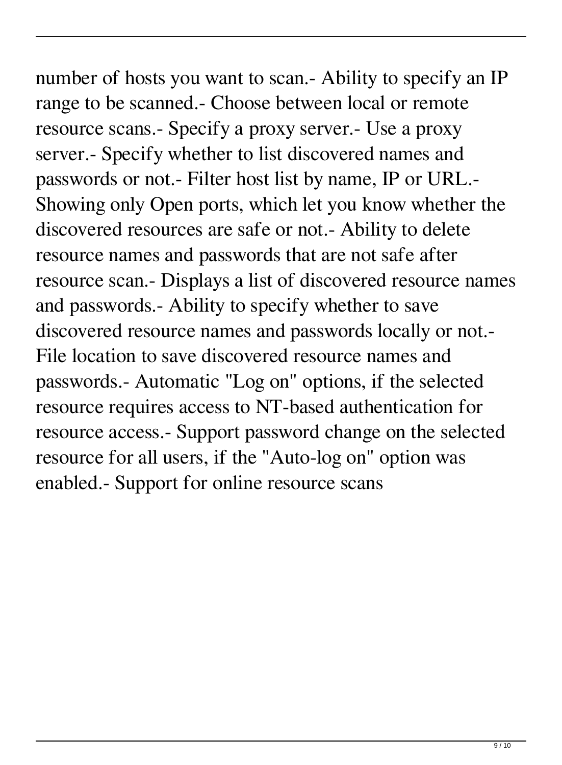number of hosts you want to scan.- Ability to specify an IP range to be scanned.- Choose between local or remote resource scans.- Specify a proxy server.- Use a proxy server.- Specify whether to list discovered names and passwords or not.- Filter host list by name, IP or URL.- Showing only Open ports, which let you know whether the discovered resources are safe or not.- Ability to delete resource names and passwords that are not safe after resource scan.- Displays a list of discovered resource names and passwords.- Ability to specify whether to save discovered resource names and passwords locally or not.- File location to save discovered resource names and passwords.- Automatic "Log on" options, if the selected resource requires access to NT-based authentication for resource access.- Support password change on the selected resource for all users, if the "Auto-log on" option was enabled.- Support for online resource scans